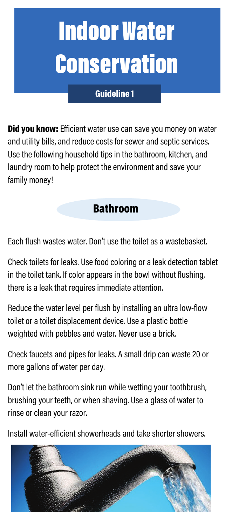# Indoor Water Conservation

#### Guideline 1

Did you know: Efficient water use can save you money on water and utility bills, and reduce costs for sewer and septic services. Use the following household tips in the bathroom, kitchen, and laundry room to help protect the environment and save your family money!

## Bathroom

Each flush wastes water. Don't use the toilet as a wastebasket.

Check toilets for leaks. Use food coloring or a leak detection tablet in the toilet tank. If color appears in the bowl without flushing, there is a leak that requires immediate attention.

Reduce the water level per flush by installing an ultra low-flow toilet or a toilet displacement device. Use a plastic bottle weighted with pebbles and water. Never use a brick.

Check faucets and pipes for leaks. A small drip can waste 20 or more gallons of water per day.

Don't let the bathroom sink run while wetting your toothbrush, brushing your teeth, or when shaving. Use a glass of water to rinse or clean your razor.

Install water-efficient showerheads and take shorter showers.